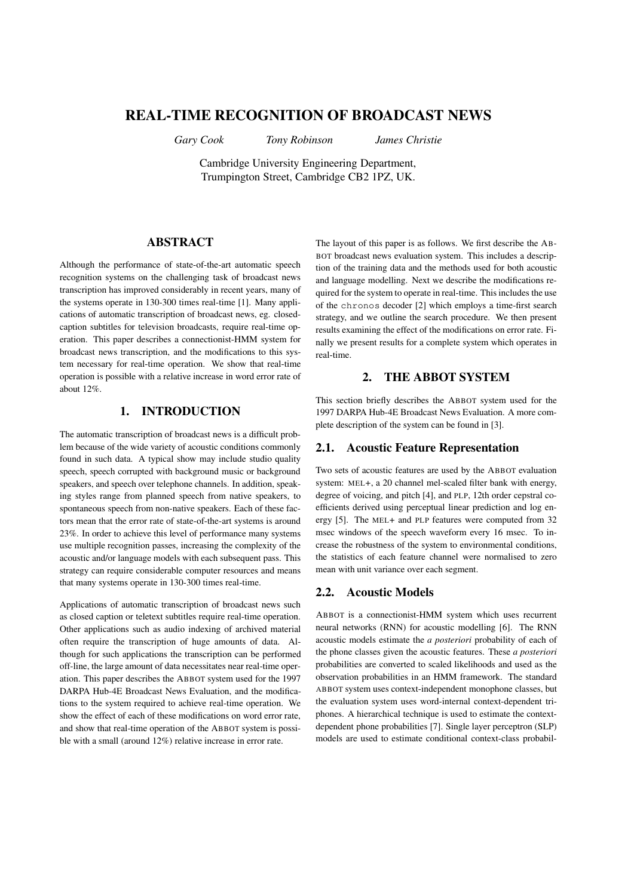# **REAL-TIME RECOGNITION OF BROADCAST NEWS**

*Gary Cook Tony Robinson James Christie*

Cambridge University Engineering Department, Trumpington Street, Cambridge CB2 1PZ, UK.

### **ABSTRACT**

Although the performance of state-of-the-art automatic speech recognition systems on the challenging task of broadcast news transcription has improved considerably in recent years, many of the systems operate in 130-300 times real-time [1]. Many applications of automatic transcription of broadcast news, eg. closedcaption subtitles for television broadcasts, require real-time operation. This paper describes a connectionist-HMM system for broadcast news transcription, and the modifications to this system necessary for real-time operation. We show that real-time operation is possible with a relative increase in word error rate of about 12%.

## **1. INTRODUCTION**

The automatic transcription of broadcast news is a difficult problem because of the wide variety of acoustic conditions commonly found in such data. A typical show may include studio quality speech, speech corrupted with background music or background speakers, and speech over telephone channels. In addition, speaking styles range from planned speech from native speakers, to spontaneous speech from non-native speakers. Each of these factors mean that the error rate of state-of-the-art systems is around 23%. In order to achieve this level of performance many systems use multiple recognition passes, increasing the complexity of the acoustic and/or language models with each subsequent pass. This strategy can require considerable computer resources and means that many systems operate in 130-300 times real-time.

Applications of automatic transcription of broadcast news such as closed caption or teletext subtitles require real-time operation. Other applications such as audio indexing of archived material often require the transcription of huge amounts of data. Although for such applications the transcription can be performed off-line, the large amount of data necessitates near real-time operation. This paper describes the ABBOT system used for the 1997 DARPA Hub-4E Broadcast News Evaluation, and the modifications to the system required to achieve real-time operation. We show the effect of each of these modifications on word error rate, and show that real-time operation of the ABBOT system is possible with a small (around 12%) relative increase in error rate.

The layout of this paper is as follows. We first describe the AB-BOT broadcast news evaluation system. This includes a description of the training data and the methods used for both acoustic and language modelling. Next we describe the modifications required for the system to operate in real-time. This includes the use of the chronos decoder [2] which employs a time-first search strategy, and we outline the search procedure. We then present results examining the effect of the modifications on error rate. Finally we present results for a complete system which operates in real-time.

## **2. THE ABBOT SYSTEM**

This section briefly describes the ABBOT system used for the 1997 DARPA Hub-4E Broadcast News Evaluation. A more complete description of the system can be found in [3].

#### **2.1. Acoustic Feature Representation**

Two sets of acoustic features are used by the ABBOT evaluation system: MEL+, a 20 channel mel-scaled filter bank with energy, degree of voicing, and pitch [4], and PLP, 12th order cepstral coefficients derived using perceptual linear prediction and log energy [5]. The MEL+ and PLP features were computed from 32 msec windows of the speech waveform every 16 msec. To increase the robustness of the system to environmental conditions, the statistics of each feature channel were normalised to zero mean with unit variance over each segment.

#### **2.2. Acoustic Models**

ABBOT is a connectionist-HMM system which uses recurrent neural networks (RNN) for acoustic modelling [6]. The RNN acoustic models estimate the *a posteriori* probability of each of the phone classes given the acoustic features. These *a posteriori* probabilities are converted to scaled likelihoods and used as the observation probabilities in an HMM framework. The standard ABBOT system uses context-independent monophone classes, but the evaluation system uses word-internal context-dependent triphones. A hierarchical technique is used to estimate the contextdependent phone probabilities [7]. Single layer perceptron (SLP) models are used to estimate conditional context-class probabil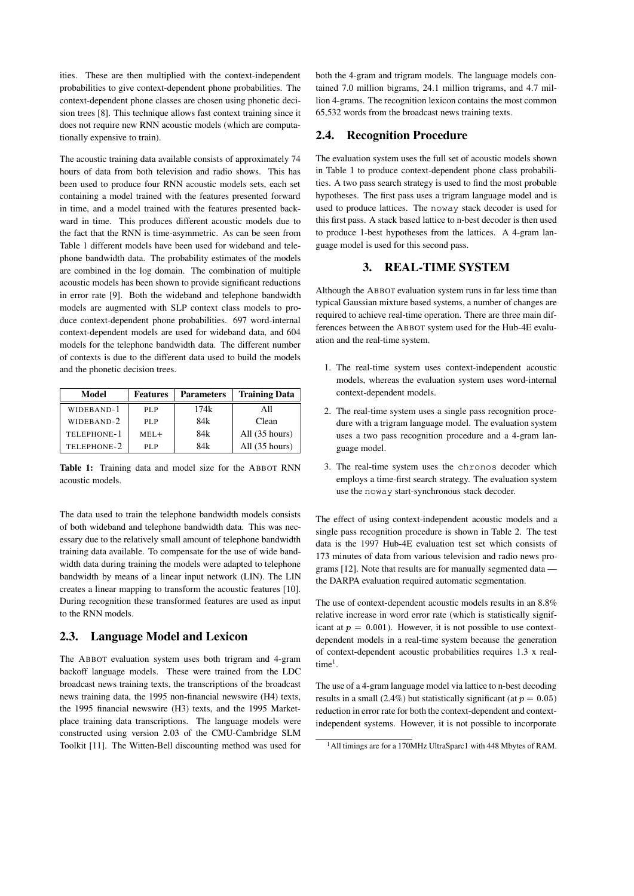ities. These are then multiplied with the context-independent probabilities to give context-dependent phone probabilities. The context-dependent phone classes are chosen using phonetic decision trees [8]. This technique allows fast context training since it does not require new RNN acoustic models (which are computationally expensive to train).

The acoustic training data available consists of approximately 74 hours of data from both television and radio shows. This has been used to produce four RNN acoustic models sets, each set containing a model trained with the features presented forward in time, and a model trained with the features presented backward in time. This produces different acoustic models due to the fact that the RNN is time-asymmetric. As can be seen from Table 1 different models have been used for wideband and telephone bandwidth data. The probability estimates of the models are combined in the log domain. The combination of multiple acoustic models has been shown to provide significant reductions in error rate [9]. Both the wideband and telephone bandwidth models are augmented with SLP context class models to produce context-dependent phone probabilities. 697 word-internal context-dependent models are used for wideband data, and 604 models for the telephone bandwidth data. The different number of contexts is due to the different data used to build the models and the phonetic decision trees.

| Model       | <b>Features</b> | <b>Parameters</b> | <b>Training Data</b>     |  |
|-------------|-----------------|-------------------|--------------------------|--|
| WIDEBAND-1  | PLP             | 174k              | A11                      |  |
| WIDEBAND-2  | PLP             | 84k               | Clean                    |  |
| TELEPHONE-1 | $MEL+$          | 84k               | All $(35 \text{ hours})$ |  |
| TELEPHONE-2 | PLP             | 84k               | All (35 hours)           |  |

**Table 1:** Training data and model size for the ABBOT RNN acoustic models.

The data used to train the telephone bandwidth models consists of both wideband and telephone bandwidth data. This was necessary due to the relatively small amount of telephone bandwidth training data available. To compensate for the use of wide bandwidth data during training the models were adapted to telephone bandwidth by means of a linear input network (LIN). The LIN creates a linear mapping to transform the acoustic features [10]. During recognition these transformed features are used as input to the RNN models.

#### **2.3. Language Model and Lexicon**

The ABBOT evaluation system uses both trigram and 4-gram backoff language models. These were trained from the LDC broadcast news training texts, the transcriptions of the broadcast news training data, the 1995 non-financial newswire (H4) texts, the 1995 financial newswire (H3) texts, and the 1995 Marketplace training data transcriptions. The language models were constructed using version 2.03 of the CMU-Cambridge SLM Toolkit [11]. The Witten-Bell discounting method was used for

both the 4-gram and trigram models. The language models contained 7.0 million bigrams, 24.1 million trigrams, and 4.7 million 4-grams. The recognition lexicon contains the most common 65,532 words from the broadcast news training texts.

## **2.4. Recognition Procedure**

The evaluation system uses the full set of acoustic models shown in Table 1 to produce context-dependent phone class probabilities. A two pass search strategy is used to find the most probable hypotheses. The first pass uses a trigram language model and is used to produce lattices. The noway stack decoder is used for this first pass. A stack based lattice to n-best decoder is then used to produce 1-best hypotheses from the lattices. A 4-gram language model is used for this second pass.

## **3. REAL-TIME SYSTEM**

Although the ABBOT evaluation system runs in far less time than typical Gaussian mixture based systems, a number of changes are required to achieve real-time operation. There are three main differences between the ABBOT system used for the Hub-4E evaluation and the real-time system.

- 1. The real-time system uses context-independent acoustic models, whereas the evaluation system uses word-internal context-dependent models.
- 2. The real-time system uses a single pass recognition procedure with a trigram language model. The evaluation system uses a two pass recognition procedure and a 4-gram language model.
- 3. The real-time system uses the chronos decoder which employs a time-first search strategy. The evaluation system use the noway start-synchronous stack decoder.

The effect of using context-independent acoustic models and a single pass recognition procedure is shown in Table 2. The test data is the 1997 Hub-4E evaluation test set which consists of 173 minutes of data from various television and radio news programs [12]. Note that results are for manually segmented data the DARPA evaluation required automatic segmentation.

The use of context-dependent acoustic models results in an 8.8% relative increase in word error rate (which is statistically significant at  $p = 0.001$ . However, it is not possible to use contextdependent models in a real-time system because the generation of context-dependent acoustic probabilities requires 1.3 x real $time<sup>1</sup>$ .

The use of a 4-gram language model via lattice to n-best decoding results in a small (2.4%) but statistically significant (at  $p = 0.05$ ) reduction in error rate for both the context-dependent and contextindependent systems. However, it is not possible to incorporate

<sup>1</sup>All timings are for a 170MHz UltraSparc1 with 448 Mbytes of RAM.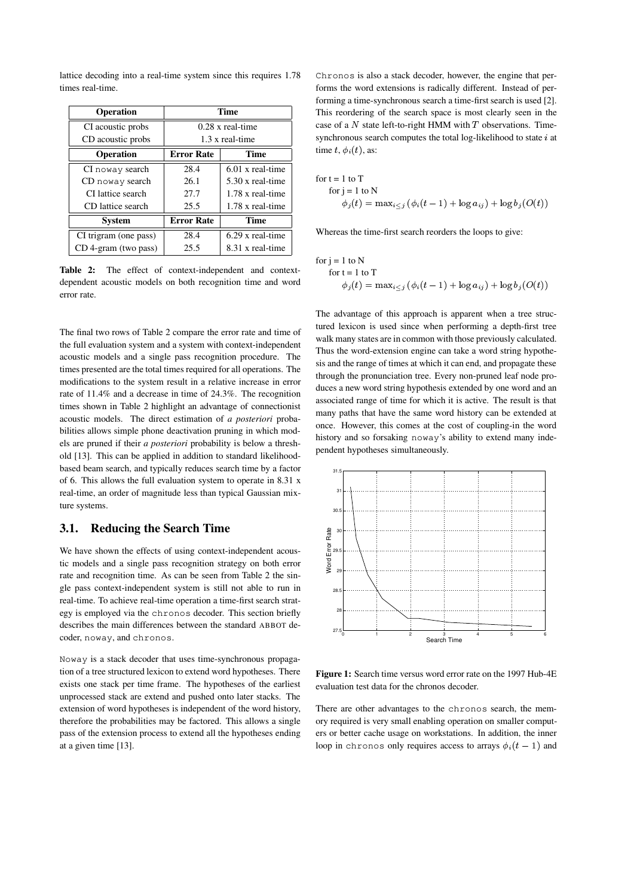lattice decoding into a real-time system since this requires 1.78 times real-time.

| <b>Operation</b>      | Time                    |                         |  |
|-----------------------|-------------------------|-------------------------|--|
| CI acoustic probs     | $0.28 \times$ real-time |                         |  |
| CD acoustic probs     | $1.3 \times$ real-time  |                         |  |
| <b>Operation</b>      | <b>Error Rate</b>       | Time                    |  |
| CI noway search       | 28.4                    | $6.01$ x real-time      |  |
| CD noway search       | 26.1                    | $5.30 \times$ real-time |  |
| CI lattice search     | 27.7                    | 1.78 x real-time        |  |
| CD lattice search     | 25.5                    | 1.78 x real-time        |  |
| System                | <b>Error Rate</b>       | Time                    |  |
| CI trigram (one pass) | 28.4                    | $6.29$ x real-time      |  |
| CD 4-gram (two pass)  | 25.5                    | 8.31 x real-time        |  |

**Table 2:** The effect of context-independent and contextdependent acoustic models on both recognition time and word error rate.

The final two rows of Table 2 compare the error rate and time of the full evaluation system and a system with context-independent acoustic models and a single pass recognition procedure. The times presented are the total times required for all operations. The modifications to the system result in a relative increase in error rate of 11.4% and a decrease in time of 24.3%. The recognition times shown in Table 2 highlight an advantage of connectionist acoustic models. The direct estimation of *a posteriori* probabilities allows simple phone deactivation pruning in which models are pruned if their *a posteriori* probability is below a threshold [13]. This can be applied in addition to standard likelihoodbased beam search, and typically reduces search time by a factor of 6. This allows the full evaluation system to operate in 8.31 x real-time, an order of magnitude less than typical Gaussian mixture systems.

#### **3.1. Reducing the Search Time**

We have shown the effects of using context-independent acoustic models and a single pass recognition strategy on both error rate and recognition time. As can be seen from Table 2 the single pass context-independent system is still not able to run in real-time. To achieve real-time operation a time-first search strategy is employed via the chronos decoder. This section briefly describes the main differences between the standard ABBOT decoder, noway, and chronos.

Noway is a stack decoder that uses time-synchronous propagation of a tree structured lexicon to extend word hypotheses. There exists one stack per time frame. The hypotheses of the earliest unprocessed stack are extend and pushed onto later stacks. The extension of word hypotheses is independent of the word history, therefore the probabilities may be factored. This allows a single pass of the extension process to extend all the hypotheses ending at a given time [13].

Chronos is also a stack decoder, however, the engine that performs the word extensions is radically different. Instead of performing a time-synchronous search a time-first search is used [2]. This reordering of the search space is most clearly seen in the case of a  $N$  state left-to-right HMM with  $T$  observations. Timesynchronous search computes the total log-likelihood to state  $i$  at time  $t, \phi_i(t)$ , as:

for t = 1 to T  
\nfor j = 1 to N  
\n
$$
\phi_j(t) = \max_{i < j} (\phi_i(t-1) + \log a_{ij}) + \log b_j(O(t))
$$

Whereas the time-first search reorders the loops to give:

for j = 1 to N  
\nfor t = 1 to T  
\n
$$
\phi_j(t) = \max_{i \leq j} (\phi_i(t-1) + \log a_{ij}) + \log b_j(O(t))
$$

The advantage of this approach is apparent when a tree structured lexicon is used since when performing a depth-first tree walk many states are in common with those previously calculated. Thus the word-extension engine can take a word string hypothesis and the range of times at which it can end, and propagate these through the pronunciation tree. Every non-pruned leaf node produces a new word string hypothesis extended by one word and an associated range of time for which it is active. The result is that many paths that have the same word history can be extended at once. However, this comes at the cost of coupling-in the word history and so forsaking noway's ability to extend many independent hypotheses simultaneously.



**Figure 1:** Search time versus word error rate on the 1997 Hub-4E evaluation test data for the chronos decoder.

There are other advantages to the chronos search, the memory required is very small enabling operation on smaller computers or better cache usage on workstations. In addition, the inner loop in chronos only requires access to arrays  $\phi_i(t-1)$  and